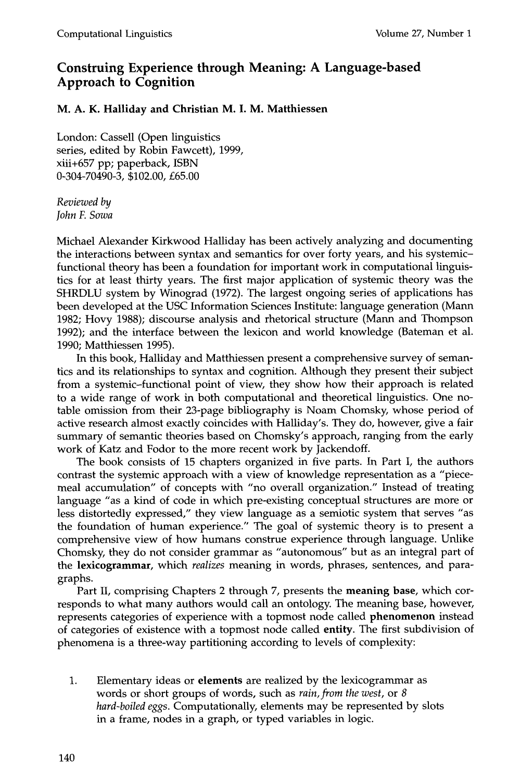## **Construing Experience through Meaning: A Language-based Approach to Cognition**

### **M. A. K. Halliday and Christian M. I. M. Matthiessen**

London: Cassell (Open linguistics series, edited by Robin Fawcett), 1999, xiii+657 pp; paperback, ISBN 0-304-70490-3, \$102.00, £65.00

*Reviewed by John F. Sowa* 

Michael Alexander Kirkwood Halliday has been actively analyzing and documenting the interactions between syntax and semantics for over forty years, and his systemicfunctional theory has been a foundation for important work in computational linguistics for at least thirty years. The first major application of systemic theory was the SHRDLU system by Winograd (1972). The largest ongoing series of applications has been developed at the USC Information Sciences Institute: language generation (Mann 1982; Hovy 1988); discourse analysis and rhetorical structure (Mann and Thompson 1992); and the interface between the lexicon and world knowledge (Bateman et al. 1990; Matthiessen 1995).

In this book, Halliday and Matthiessen present a comprehensive survey of semantics and its relationships to syntax and cognition. Although they present their subject from a systemic-functional point of view, they show how their approach is related to a wide range of work in both computational and theoretical linguistics. One notable omission from their 23-page bibliography is Noam Chomsky, whose period of active research almost exactly coincides with Halliday's. They do, however, give a fair summary of semantic theories based on Chomsky's approach, ranging from the early work of Katz and Fodor to the more recent work by Jackendoff.

The book consists of 15 chapters organized in five parts. In Part I, the authors contrast the systemic approach with a view of knowledge representation as a "piecemeal accumulation" of concepts with "no overall organization." Instead of treating language "as a kind of code in which pre-existing conceptual structures are more or less distortedly expressed," they view language as a semiotic system that serves "as the foundation of human experience." The goal of systemic theory is to present a comprehensive view of how humans construe experience through language. Unlike Chomsky, they do not consider grammar as "autonomous" but as an integral part of the **lexicogrammar,** which *realizes* meaning in words, phrases, sentences, and paragraphs.

Part II, comprising Chapters 2 through 7, presents the **meaning base,** which corresponds to what many authors would call an ontology. The meaning base, however, represents categories of experience with a topmost node called phenomenon instead of categories of existence with a topmost node called entity. The first subdivision of phenomena is a three-way partitioning according to levels of complexity:

. Elementary ideas or **elements** are realized by the lexicogrammar as words or short groups of words, such as *rain, from the west,* or 8 *hard-boiled eggs.* Computationally, elements may be represented by slots in a frame, nodes in a graph, or typed variables in logic.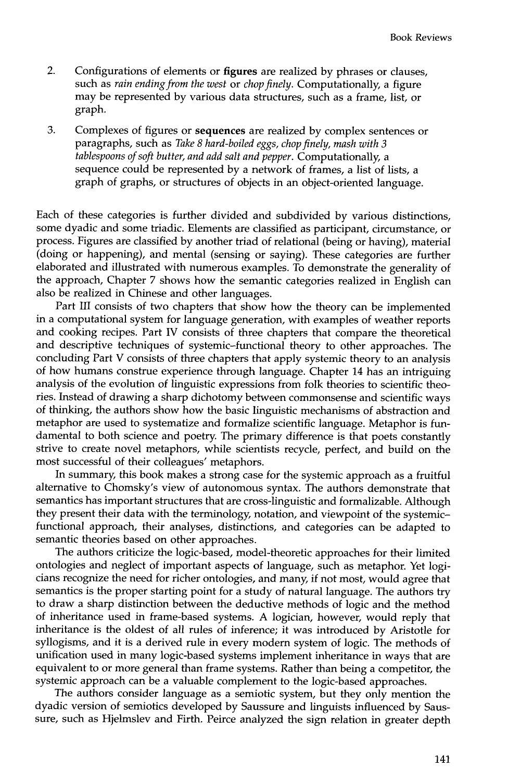- 2. Configurations of elements or figures are realized by phrases or clauses, such as *rain ending from the west* or *chop finely.* Computationally, a figure may be represented by various data structures, such as a frame, list, or graph.
- 3. Complexes of figures or sequences are realized by complex sentences or paragraphs, such as *Take 8 hard-boiled eggs, chop finely, mash with 3 tablespoons of soft butter, and add salt and pepper.* Computationally, a sequence could be represented by a network of frames, a list of lists, a graph of graphs, or structures of objects in an object-oriented language.

Each of these categories is further divided and subdivided by various distinctions, some dyadic and some triadic. Elements are classified as participant, circumstance, or process. Figures are classified by another triad of relational (being or having), material (doing or happening), and mental (sensing or saying). These categories are further elaborated and illustrated with numerous examples. To demonstrate the generality of the approach, Chapter 7 shows how the semantic categories realized in English can also be realized in Chinese and other languages.

Part III consists of two chapters that show how the theory can be implemented in a computational system for language generation, with examples of weather reports and cooking recipes. Part IV consists of three chapters that compare the theoretical and descriptive techniques of systemic-functional theory to other approaches. The concluding Part V consists of three chapters that apply systemic theory to an analysis of how humans construe experience through language. Chapter 14 has an intriguing analysis of the evolution of linguistic expressions from folk theories to scientific theories. Instead of drawing a sharp dichotomy between commonsense and scientific ways of thinking, the authors show how the basic linguistic mechanisms of abstraction and metaphor are used to systematize and formalize scientific language. Metaphor is fundamental to both science and poetry. The primary difference is that poets constantly strive to create novel metaphors, while scientists recycle, perfect, and build on the most successful of their colleagues' metaphors.

In summary, this book makes a strong case for the systemic approach as a fruitful alternative to Chomsky's view of autonomous syntax. The authors demonstrate that semantics has important structures that are cross-linguistic and formalizable. Although they present their data with the terminology, notation, and viewpoint of the systemicfunctional approach, their analyses, distinctions, and categories can be adapted to semantic theories based on other approaches.

The authors criticize the logic-based, model-theoretic approaches for their limited ontologies and neglect of important aspects of language, such as metaphor. Yet logicians recognize the need for richer ontologies, and many, if not most, would agree that semantics is the proper starting point for a study of natural language. The authors try to draw a sharp distinction between the deductive methods of logic and the method of inheritance used in frame-based systems. A logician, however, would reply that inheritance is the oldest of all rules of inference; it was introduced by Aristotle for syllogisms, and it is a derived rule in every modern system of logic. The methods of unification used in many logic-based systems implement inheritance in ways that are equivalent to or more general than frame systems. Rather than being a competitor, the systemic approach can be a valuable complement to the logic-based approaches.

The authors consider language as a semiotic system, but they only mention the dyadic version of semiotics developed by Saussure and linguists influenced by Saussure, such as Hjelmslev and Firth. Peirce analyzed the sign relation in greater depth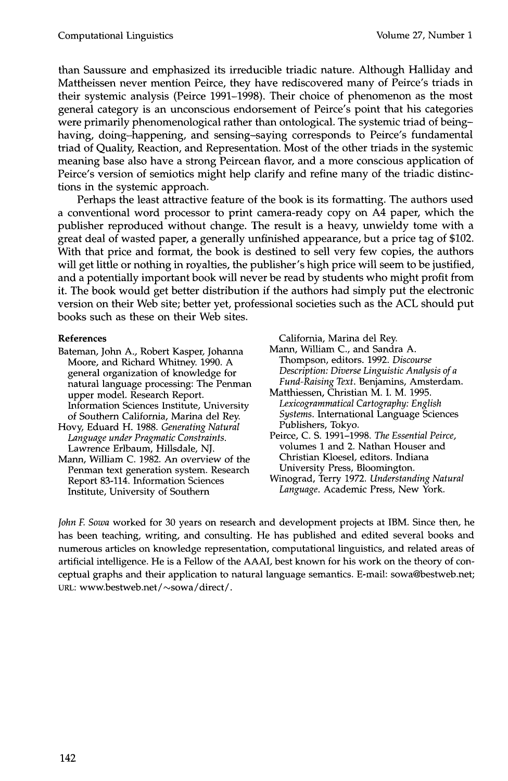than Saussure and emphasized its irreducible triadic nature. Although Halliday and Mattheissen never mention Peirce, they have rediscovered many of Peirce's triads in their systemic analysis (Peirce 1991-1998). Their choice of phenomenon as the most general category is an unconscious endorsement of Peirce's point that his categories were primarily phenomenological rather than ontological. The systemic triad of beinghaving, doing-happening, and sensing-saying corresponds to Peirce's fundamental triad of Quality, Reaction, and Representation. Most of the other triads in the systemic meaning base also have a strong Peircean flavor, and a more conscious application of Peirce's version of semiotics might help clarify and refine many of the triadic distinctions in the systemic approach.

Perhaps the least attractive feature of the book is its formatting. The authors used a conventional word processor to print camera-ready copy on A4 paper, which the publisher reproduced without change. The result is a heavy, unwieldy tome with a great deal of wasted paper, a generally unfinished appearance, but a price tag of \$102. With that price and format, the book is destined to sell very few copies, the authors will get little or nothing in royalties, the publisher's high price will seem to be justified, and a potentially important book will never be read by students who might profit from it. The book would get better distribution if the authors had simply put the electronic version on their Web site; better yet, professional societies such as the ACL should put books such as these on their Web sites.

### **References**

- Bateman, John A., Robert Kasper, Johanna Moore, and Richard Whitney. 1990. A general organization of knowledge for natural language processing: The Penman upper model. Research Report. Information Sciences Institute, University of Southern California, Marina del Rey.
- Hovy, Eduard H. 1988. *Generating Natural Language under Pragmatic Constraints.*  Lawrence Erlbaum, Hillsdale, NJ.
- Mann, William C. 1982. An overview of the Penman text generation system. Research Report 83-114. Information Sciences Institute, University of Southern

California, Marina del Rey.

Mann, William C., and Sandra A. Thompson, editors. 1992. *Discourse Description: Diverse Linguistic Analysis of a Fund-Raising Text.* Benjamins, Amsterdam.

- Matthiessen, Christian M. I. M. 1995. *Lexicogrammatical Cartography: English Systems.* International Language Sciences Publishers, Tokyo.
- Peirce, C. S. 1991-1998. *The Essential Peirce,*  volumes 1 and 2. Nathan Houser and Christian Kloesel, editors. Indiana University Press, Bloomington.
- Winograd, Terry 1972. *Understanding Natural Language.* Academic Press, New York.

*John E Sowa* worked for 30 years on research and development projects at IBM. Since then, he has been teaching, writing, and consulting. He has published and edited several books and numerous articles on knowledge representation, computational linguistics, and related areas of artificial intelligence. He is a Fellow of the AAAI, best known for his work on the theory of conceptual graphs and their application to natural language semantics. E-mail: sowa@bestweb.net; URL: www.bestweb.net / ~sowa / direct/.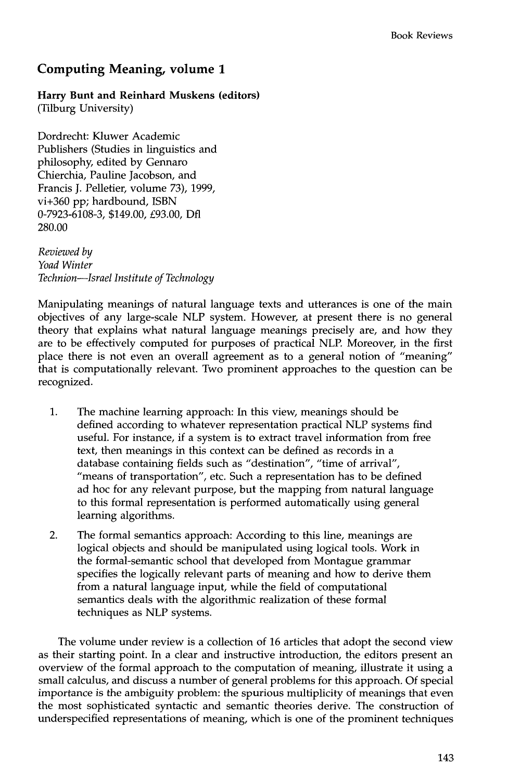# **Computing Meaning, volume 1**

## **Harry Bunt and Reinhard Muskens (editors)**

(Tilburg University)

Dordrecht: Kluwer Academic Publishers (Studies in linguistics and philosophy, edited by Gennaro Chierchia, Pauline Jacobson, and Francis J. Pelletier, volume 73), 1999, vi+360 pp; hardbound, ISBN 0-7923-6108-3, \$149.00, £93.00, Dfl 280.00

*Reviewed by Yoad Winter Technion--Israel Institute of Technology* 

Manipulating meanings of natural language texts and utterances is one of the main objectives of any large-scale NLP system. However, at present there is no general theory that explains what natural language meanings precisely are, and how they are to be effectively computed for purposes of practical NLP. Moreover, in the first place there is not even an overall agreement as to a general notion of "meaning" that is computationally relevant. Two prominent approaches to the question can be recognized.

- . The machine learning approach: In this view, meanings should be defined according to whatever representation practical NLP systems find useful. For instance, if a system is to extract travel information from free text, then meanings in this context can be defined as records in a database containing fields such as "destination", "time of arrival", "means of transportation", etc. Such a representation has to be defined ad hoc for any relevant purpose, but the mapping from natural language to this formal representation is performed automatically using general learning algorithms.
- 2. The formal semantics approach: According to this line, meanings are logical objects and should be manipulated using logical tools. Work in the formal-semantic school that developed from Montague grammar specifies the logically relevant parts of meaning and how to derive them from a natural language input, while the field of computational semantics deals with the algorithmic realization of these formal techniques as NLP systems.

The volume under review is a collection of 16 articles that adopt the second view as their starting point. In a clear and instructive introduction, the editors present an overview of the formal approach to the computation of meaning, illustrate it using a small calculus, and discuss a number of general problems for this approach. Of special importance is the ambiguity problem: the spurious multiplicity of meanings that even the most sophisticated syntactic and semantic theories derive. The construction of underspecified representations of meaning, which is one of the prominent techniques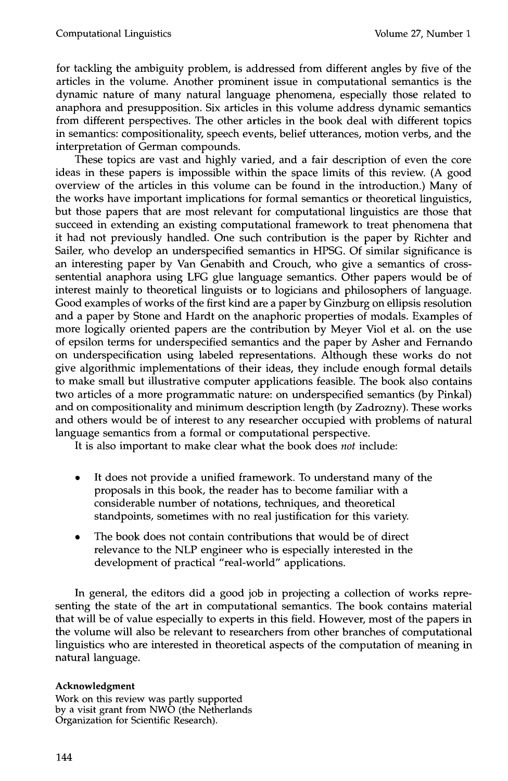for tackling the ambiguity problem, is addressed from different angles by five of the articles in the volume. Another prominent issue in computational semantics is the dynamic nature of many natural language phenomena, especially those related to anaphora and presupposition. Six articles in this volume address dynamic semantics from different perspectives. The other articles in the book deal with different topics in semantics: compositionality, speech events, belief utterances, motion verbs, and the interpretation of German compounds.

These topics are vast and highly varied, and a fair description of even the core ideas in these papers is impossible within the space limits of this review. (A good overview of the articles in this volume can be found in the introduction.) Many of the works have important implications for formal semantics or theoretical linguistics, but those papers that are most relevant for computational linguistics are those that succeed in extending an existing computational framework to treat phenomena that it had not previously handled. One such contribution is the paper by Richter and Sailer, who develop an underspecified semantics in HPSG. Of similar significance is an interesting paper by Van Genabith and Crouch, who give a semantics of crosssentential anaphora using LFG glue language semantics. Other papers would be of interest mainly to theoretical linguists or to logicians and philosophers of language. Good examples of works of the first kind are a paper by Ginzburg on ellipsis resolution and a paper by Stone and Hardt on the anaphoric properties of modals. Examples of more logically oriented papers are the contribution by Meyer Viol et al. on the use of epsilon terms for underspecified semantics and the paper by Asher and Fernando on underspecification using labeled representations. Although these works do not give algorithmic implementations of their ideas, they include enough formal details to make small but illustrative computer applications feasible. The book also contains two articles of a more programmatic nature: on underspecified semantics (by Pinkal) and on compositionality and minimum description length (by Zadrozny). These works and others would be of interest to any researcher occupied with problems of natural language semantics from a formal or computational perspective.

It is also important to make clear what the book does *not* include:

- It does not provide a unified framework. To understand many of the proposals in this book, the reader has to become familiar with a considerable number of notations, techniques, and theoretical standpoints, sometimes with no real justification for this variety.
- The book does not contain contributions that would be of direct relevance to the NLP engineer who is especially interested in the development of practical "real-world" applications.

In general, the editors did a good job in projecting a collection of works representing the state of the art in computational semantics. The book contains material that will be of value especially to experts in this field. However, most of the papers in the volume will also be relevant to researchers from other branches of computational linguistics who are interested in theoretical aspects of the computation of meaning in natural language.

### **Acknowledgment**

Work on this review was partly supported by a visit grant from NWO (the Netherlands Organization for Scientific Research).